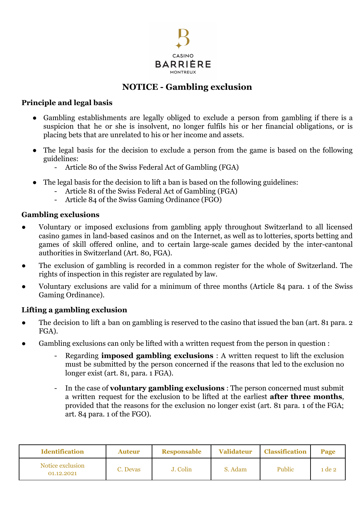

# **NOTICE - Gambling exclusion**

### **Principle and legal basis**

- Gambling establishments are legally obliged to exclude a person from gambling if there is a suspicion that he or she is insolvent, no longer fulfils his or her financial obligations, or is placing bets that are unrelated to his or her income and assets.
- The legal basis for the decision to exclude a person from the game is based on the following guidelines:
	- Article 80 of the Swiss Federal Act of Gambling (FGA)
- The legal basis for the decision to lift a ban is based on the following guidelines:
	- Article 81 of the Swiss Federal Act of Gambling (FGA)
	- Article 84 of the Swiss Gaming Ordinance (FGO)

## **Gambling exclusions**

- Voluntary or imposed exclusions from gambling apply throughout Switzerland to all licensed casino games in land-based casinos and on the Internet, as well as to lotteries, sports betting and games of skill offered online, and to certain large-scale games decided by the inter-cantonal authorities in Switzerland (Art. 80, FGA).
- The exclusion of gambling is recorded in a common register for the whole of Switzerland. The rights of inspection in this register are regulated by law.
- Voluntary exclusions are valid for a minimum of three months (Article 84 para. 1 of the Swiss Gaming Ordinance).

# **Lifting a gambling exclusion**

- The decision to lift a ban on gambling is reserved to the casino that issued the ban (art. 81 para. 2 FGA).
- Gambling exclusions can only be lifted with a written request from the person in question :
	- Regarding **imposed gambling exclusions** : A written request to lift the exclusion must be submitted by the person concerned if the reasons that led to the exclusion no longer exist (art. 81, para. 1 FGA).
	- In the case of **voluntary gambling exclusions** : The person concerned must submit a written request for the exclusion to be lifted at the earliest **after three months**, provided that the reasons for the exclusion no longer exist (art. 81 para. 1 of the FGA; art. 84 para. 1 of the FGO).

| <b>Identification</b>          | Auteur   | <b>Responsable</b> | <b>Validateur</b> | <b>Classification</b> | Page   |
|--------------------------------|----------|--------------------|-------------------|-----------------------|--------|
| Notice exclusion<br>01.12.2021 | C. Devas | J. Colin           | S. Adam           | <b>Public</b>         | 1 de 2 |